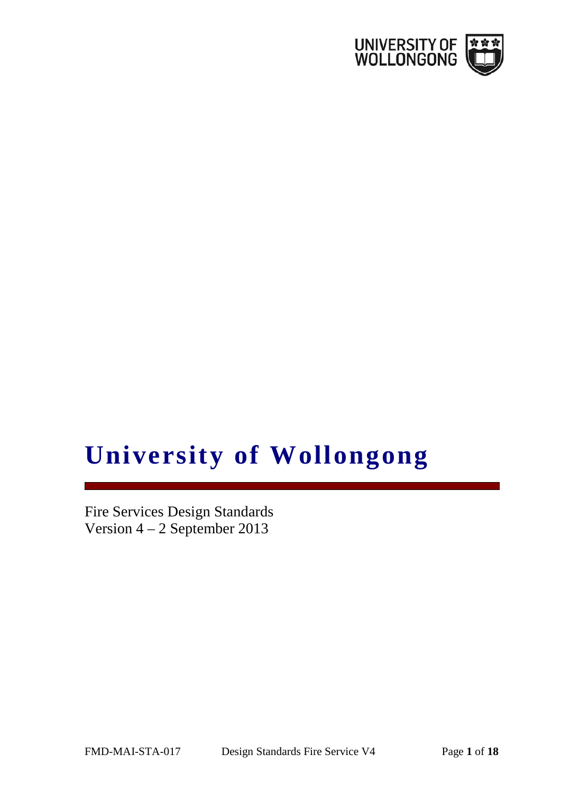

# **University of Wollongong**

Fire Services Design Standards Version 4 – 2 September 2013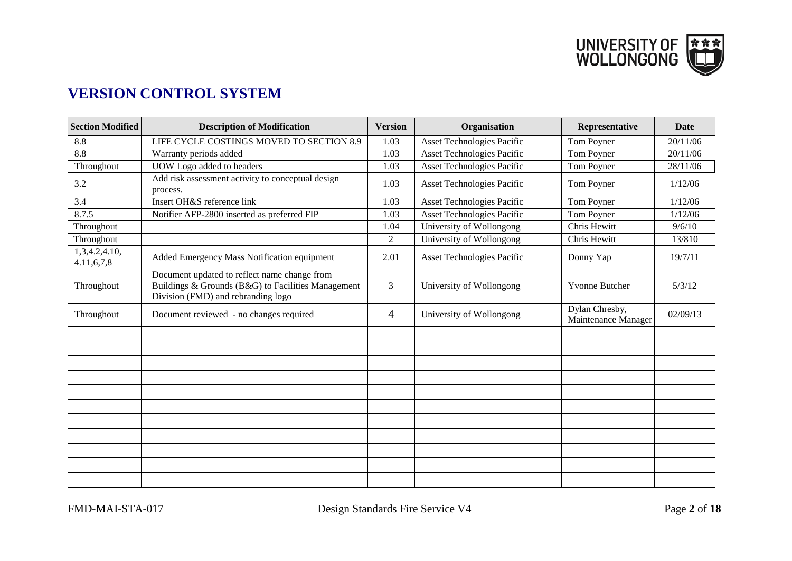

# **VERSION CONTROL SYSTEM**

| <b>Section Modified</b>     | <b>Description of Modification</b>                                                                                                       | <b>Version</b> | Organisation                      | Representative                        | <b>Date</b> |
|-----------------------------|------------------------------------------------------------------------------------------------------------------------------------------|----------------|-----------------------------------|---------------------------------------|-------------|
| 8.8                         | LIFE CYCLE COSTINGS MOVED TO SECTION 8.9                                                                                                 | 1.03           | <b>Asset Technologies Pacific</b> | Tom Poyner                            | 20/11/06    |
| 8.8                         | Warranty periods added                                                                                                                   | 1.03           | <b>Asset Technologies Pacific</b> | Tom Poyner                            | 20/11/06    |
| Throughout                  | UOW Logo added to headers                                                                                                                | 1.03           | <b>Asset Technologies Pacific</b> | Tom Poyner                            | 28/11/06    |
| 3.2                         | Add risk assessment activity to conceptual design<br>process.                                                                            | 1.03           | <b>Asset Technologies Pacific</b> | Tom Poyner                            | 1/12/06     |
| 3.4                         | Insert OH&S reference link                                                                                                               | 1.03           | <b>Asset Technologies Pacific</b> | Tom Poyner                            | 1/12/06     |
| 8.7.5                       | Notifier AFP-2800 inserted as preferred FIP                                                                                              | 1.03           | <b>Asset Technologies Pacific</b> | Tom Poyner                            | 1/12/06     |
| Throughout                  |                                                                                                                                          | 1.04           | University of Wollongong          | Chris Hewitt                          | 9/6/10      |
| Throughout                  |                                                                                                                                          | $\overline{2}$ | University of Wollongong          | Chris Hewitt                          | 13/810      |
| 1,3,4.2,4.10,<br>4.11,6,7,8 | Added Emergency Mass Notification equipment                                                                                              | 2.01           | Asset Technologies Pacific        | Donny Yap                             | 19/7/11     |
| Throughout                  | Document updated to reflect name change from<br>Buildings & Grounds (B&G) to Facilities Management<br>Division (FMD) and rebranding logo | 3              | University of Wollongong          | <b>Yvonne Butcher</b>                 | 5/3/12      |
| Throughout                  | Document reviewed - no changes required                                                                                                  | 4              | University of Wollongong          | Dylan Chresby,<br>Maintenance Manager | 02/09/13    |
|                             |                                                                                                                                          |                |                                   |                                       |             |
|                             |                                                                                                                                          |                |                                   |                                       |             |
|                             |                                                                                                                                          |                |                                   |                                       |             |
|                             |                                                                                                                                          |                |                                   |                                       |             |
|                             |                                                                                                                                          |                |                                   |                                       |             |
|                             |                                                                                                                                          |                |                                   |                                       |             |
|                             |                                                                                                                                          |                |                                   |                                       |             |
|                             |                                                                                                                                          |                |                                   |                                       |             |
|                             |                                                                                                                                          |                |                                   |                                       |             |
|                             |                                                                                                                                          |                |                                   |                                       |             |
|                             |                                                                                                                                          |                |                                   |                                       |             |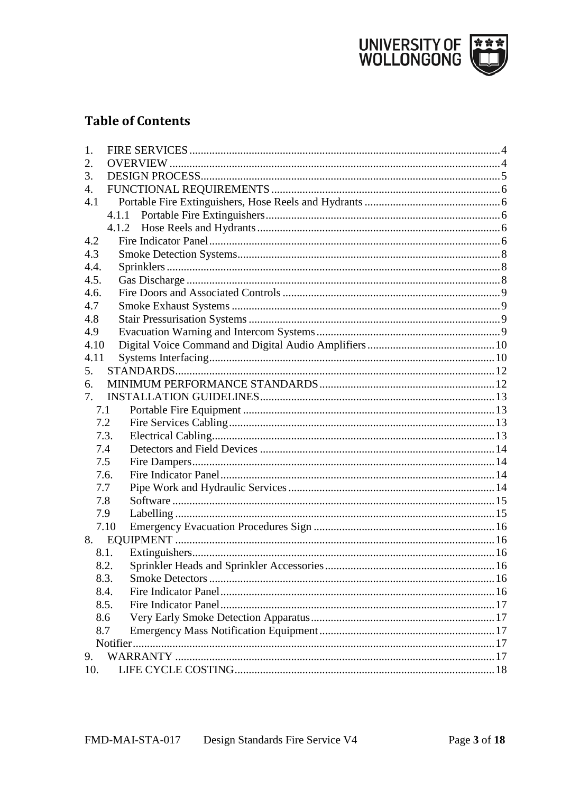

# **Table of Contents**

| 1.   |       |  |
|------|-------|--|
| 2.   |       |  |
| 3.   |       |  |
| 4.   |       |  |
| 4.1  |       |  |
|      |       |  |
|      | 4.1.2 |  |
| 4.2  |       |  |
| 4.3  |       |  |
| 4.4. |       |  |
| 4.5. |       |  |
| 4.6. |       |  |
| 4.7  |       |  |
| 4.8  |       |  |
| 4.9  |       |  |
| 4.10 |       |  |
| 4.11 |       |  |
| 5.   |       |  |
| 6.   |       |  |
| 7.   |       |  |
| 7.1  |       |  |
|      | 7.2   |  |
|      | 7.3.  |  |
|      | 7.4   |  |
| 7.5  |       |  |
|      | 7.6.  |  |
| 7.7  |       |  |
| 7.8  |       |  |
|      | 7.9   |  |
|      | 7.10  |  |
| 8.   |       |  |
|      | 8.1.  |  |
|      | 8.2.  |  |
|      | 8.3.  |  |
|      | 8.4.  |  |
|      | 8.5.  |  |
|      | 8.6   |  |
| 8.7  |       |  |
|      |       |  |
| 9.   |       |  |
| 10.  |       |  |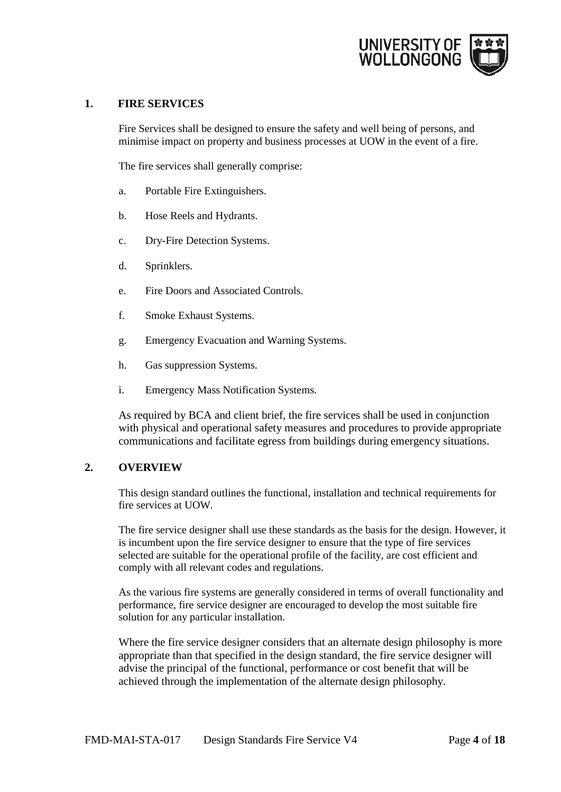

# <span id="page-3-0"></span>**1. FIRE SERVICES**

Fire Services shall be designed to ensure the safety and well being of persons, and minimise impact on property and business processes at UOW in the event of a fire.

The fire services shall generally comprise:

- a. Portable Fire Extinguishers.
- b. Hose Reels and Hydrants.
- c. Dry-Fire Detection Systems.
- d. Sprinklers.
- e. Fire Doors and Associated Controls.
- f. Smoke Exhaust Systems.
- g. Emergency Evacuation and Warning Systems.
- h. Gas suppression Systems.
- i. Emergency Mass Notification Systems.

As required by BCA and client brief, the fire services shall be used in conjunction with physical and operational safety measures and procedures to provide appropriate communications and facilitate egress from buildings during emergency situations.

#### **2. OVERVIEW**

<span id="page-3-1"></span>This design standard outlines the functional, installation and technical requirements for fire services at UOW.

The fire service designer shall use these standards as the basis for the design. However, it is incumbent upon the fire service designer to ensure that the type of fire services selected are suitable for the operational profile of the facility, are cost efficient and comply with all relevant codes and regulations.

As the various fire systems are generally considered in terms of overall functionality and performance, fire service designer are encouraged to develop the most suitable fire solution for any particular installation.

Where the fire service designer considers that an alternate design philosophy is more appropriate than that specified in the design standard, the fire service designer will advise the principal of the functional, performance or cost benefit that will be achieved through the implementation of the alternate design philosophy.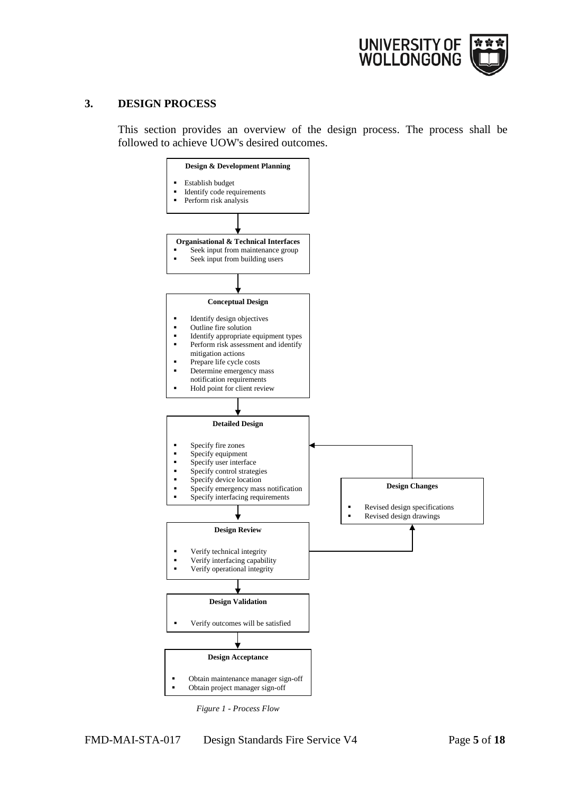

# <span id="page-4-0"></span>**3. DESIGN PROCESS**

This section provides an overview of the design process. The process shall be followed to achieve UOW's desired outcomes.



 *Figure 1 - Process Flow*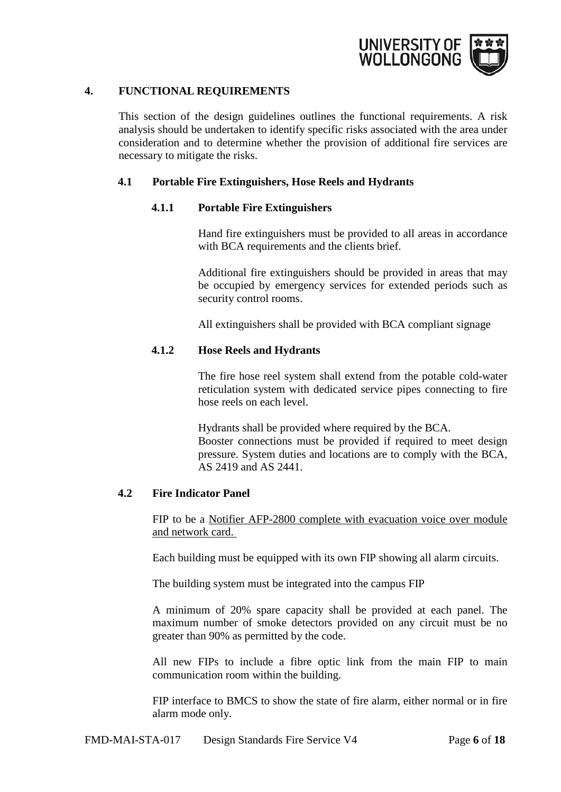

# **4. FUNCTIONAL REQUIREMENTS**

<span id="page-5-0"></span>This section of the design guidelines outlines the functional requirements. A risk analysis should be undertaken to identify specific risks associated with the area under consideration and to determine whether the provision of additional fire services are necessary to mitigate the risks.

# <span id="page-5-2"></span><span id="page-5-1"></span>**4.1 Portable Fire Extinguishers, Hose Reels and Hydrants**

#### **4.1.1 Portable Fire Extinguishers**

Hand fire extinguishers must be provided to all areas in accordance with BCA requirements and the clients brief.

Additional fire extinguishers should be provided in areas that may be occupied by emergency services for extended periods such as security control rooms.

All extinguishers shall be provided with BCA compliant signage

# <span id="page-5-3"></span>**4.1.2 Hose Reels and Hydrants**

The fire hose reel system shall extend from the potable cold-water reticulation system with dedicated service pipes connecting to fire hose reels on each level.

Hydrants shall be provided where required by the BCA. Booster connections must be provided if required to meet design pressure. System duties and locations are to comply with the BCA, AS 2419 and AS 2441.

#### <span id="page-5-4"></span>**4.2 Fire Indicator Panel**

FIP to be a Notifier AFP-2800 complete with evacuation voice over module and network card.

Each building must be equipped with its own FIP showing all alarm circuits.

The building system must be integrated into the campus FIP

A minimum of 20% spare capacity shall be provided at each panel. The maximum number of smoke detectors provided on any circuit must be no greater than 90% as permitted by the code.

All new FIPs to include a fibre optic link from the main FIP to main communication room within the building.

FIP interface to BMCS to show the state of fire alarm, either normal or in fire alarm mode only.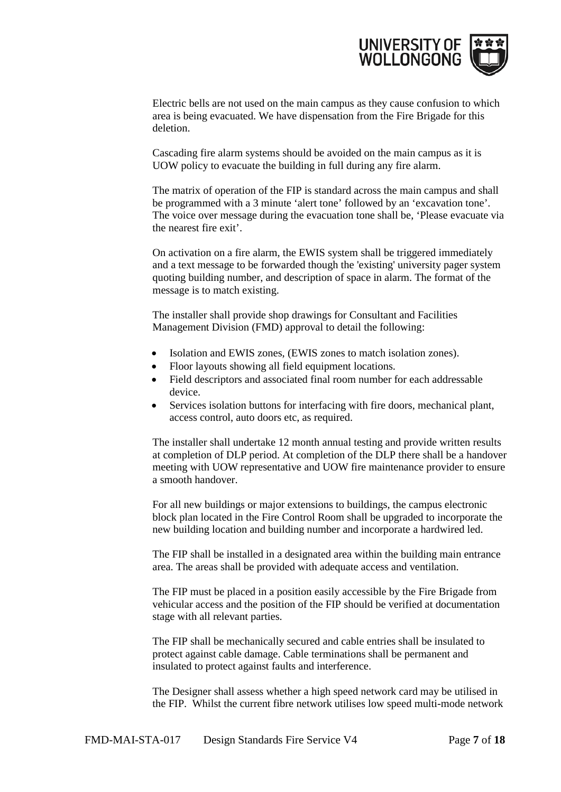

Electric bells are not used on the main campus as they cause confusion to which area is being evacuated. We have dispensation from the Fire Brigade for this deletion.

Cascading fire alarm systems should be avoided on the main campus as it is UOW policy to evacuate the building in full during any fire alarm.

The matrix of operation of the FIP is standard across the main campus and shall be programmed with a 3 minute 'alert tone' followed by an 'excavation tone'. The voice over message during the evacuation tone shall be, 'Please evacuate via the nearest fire exit'.

On activation on a fire alarm, the EWIS system shall be triggered immediately and a text message to be forwarded though the 'existing' university pager system quoting building number, and description of space in alarm. The format of the message is to match existing.

The installer shall provide shop drawings for Consultant and Facilities Management Division (FMD) approval to detail the following:

- Isolation and EWIS zones, (EWIS zones to match isolation zones).
- Floor layouts showing all field equipment locations.
- Field descriptors and associated final room number for each addressable device.
- Services isolation buttons for interfacing with fire doors, mechanical plant, access control, auto doors etc, as required.

The installer shall undertake 12 month annual testing and provide written results at completion of DLP period. At completion of the DLP there shall be a handover meeting with UOW representative and UOW fire maintenance provider to ensure a smooth handover.

For all new buildings or major extensions to buildings, the campus electronic block plan located in the Fire Control Room shall be upgraded to incorporate the new building location and building number and incorporate a hardwired led.

The FIP shall be installed in a designated area within the building main entrance area. The areas shall be provided with adequate access and ventilation.

The FIP must be placed in a position easily accessible by the Fire Brigade from vehicular access and the position of the FIP should be verified at documentation stage with all relevant parties.

The FIP shall be mechanically secured and cable entries shall be insulated to protect against cable damage. Cable terminations shall be permanent and insulated to protect against faults and interference.

The Designer shall assess whether a high speed network card may be utilised in the FIP. Whilst the current fibre network utilises low speed multi-mode network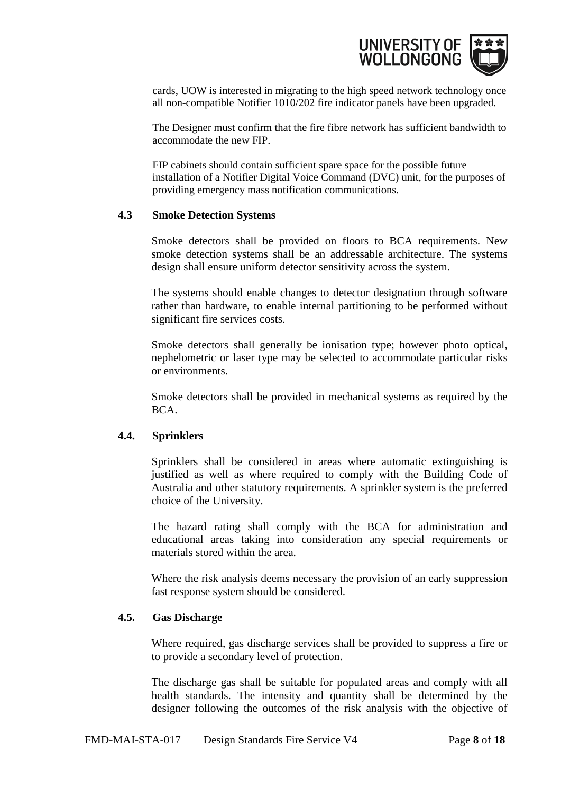

cards, UOW is interested in migrating to the high speed network technology once all non-compatible Notifier 1010/202 fire indicator panels have been upgraded.

The Designer must confirm that the fire fibre network has sufficient bandwidth to accommodate the new FIP.

FIP cabinets should contain sufficient spare space for the possible future installation of a Notifier Digital Voice Command (DVC) unit, for the purposes of providing emergency mass notification communications.

### <span id="page-7-0"></span>**4.3 Smoke Detection Systems**

Smoke detectors shall be provided on floors to BCA requirements. New smoke detection systems shall be an addressable architecture. The systems design shall ensure uniform detector sensitivity across the system.

The systems should enable changes to detector designation through software rather than hardware, to enable internal partitioning to be performed without significant fire services costs.

Smoke detectors shall generally be ionisation type; however photo optical, nephelometric or laser type may be selected to accommodate particular risks or environments.

Smoke detectors shall be provided in mechanical systems as required by the BCA.

#### <span id="page-7-1"></span>**4.4. Sprinklers**

Sprinklers shall be considered in areas where automatic extinguishing is justified as well as where required to comply with the Building Code of Australia and other statutory requirements. A sprinkler system is the preferred choice of the University.

The hazard rating shall comply with the BCA for administration and educational areas taking into consideration any special requirements or materials stored within the area.

Where the risk analysis deems necessary the provision of an early suppression fast response system should be considered.

#### <span id="page-7-2"></span>**4.5. Gas Discharge**

Where required, gas discharge services shall be provided to suppress a fire or to provide a secondary level of protection.

The discharge gas shall be suitable for populated areas and comply with all health standards. The intensity and quantity shall be determined by the designer following the outcomes of the risk analysis with the objective of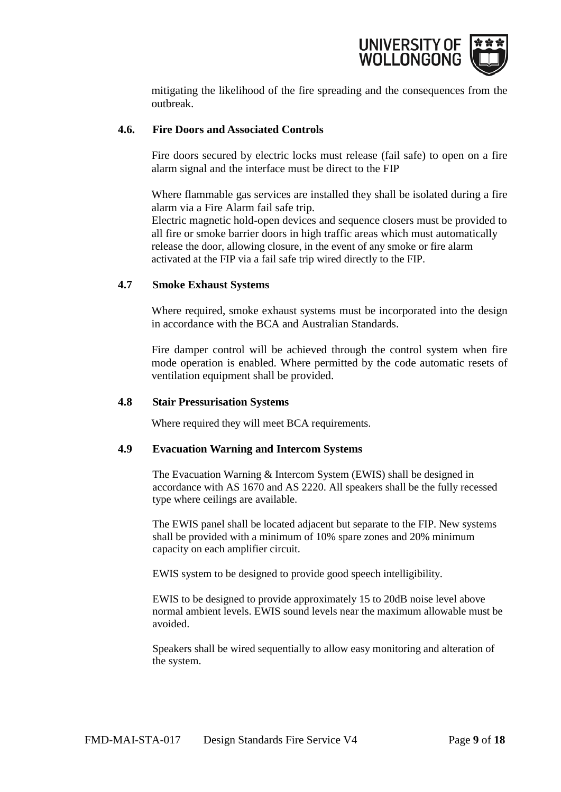

mitigating the likelihood of the fire spreading and the consequences from the outbreak.

### <span id="page-8-0"></span>**4.6. Fire Doors and Associated Controls**

Fire doors secured by electric locks must release (fail safe) to open on a fire alarm signal and the interface must be direct to the FIP

Where flammable gas services are installed they shall be isolated during a fire alarm via a Fire Alarm fail safe trip.

Electric magnetic hold-open devices and sequence closers must be provided to all fire or smoke barrier doors in high traffic areas which must automatically release the door, allowing closure, in the event of any smoke or fire alarm activated at the FIP via a fail safe trip wired directly to the FIP.

# <span id="page-8-1"></span>**4.7 Smoke Exhaust Systems**

Where required, smoke exhaust systems must be incorporated into the design in accordance with the BCA and Australian Standards.

Fire damper control will be achieved through the control system when fire mode operation is enabled. Where permitted by the code automatic resets of ventilation equipment shall be provided.

#### <span id="page-8-2"></span>**4.8 Stair Pressurisation Systems**

Where required they will meet BCA requirements.

#### <span id="page-8-3"></span>**4.9 Evacuation Warning and Intercom Systems**

The Evacuation Warning & Intercom System (EWIS) shall be designed in accordance with AS 1670 and AS 2220. All speakers shall be the fully recessed type where ceilings are available.

The EWIS panel shall be located adjacent but separate to the FIP. New systems shall be provided with a minimum of 10% spare zones and 20% minimum capacity on each amplifier circuit.

EWIS system to be designed to provide good speech intelligibility.

EWIS to be designed to provide approximately 15 to 20dB noise level above normal ambient levels. EWIS sound levels near the maximum allowable must be avoided.

Speakers shall be wired sequentially to allow easy monitoring and alteration of the system.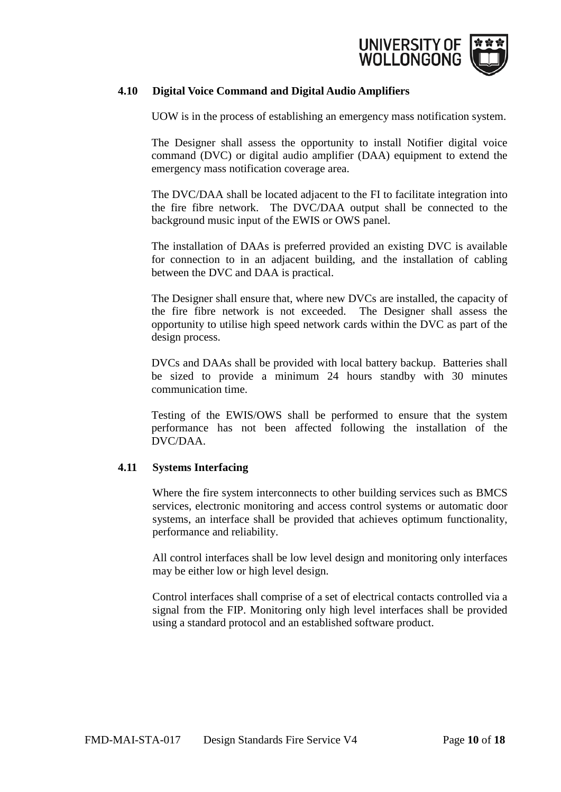

# <span id="page-9-0"></span>**4.10 Digital Voice Command and Digital Audio Amplifiers**

UOW is in the process of establishing an emergency mass notification system.

The Designer shall assess the opportunity to install Notifier digital voice command (DVC) or digital audio amplifier (DAA) equipment to extend the emergency mass notification coverage area.

The DVC/DAA shall be located adjacent to the FI to facilitate integration into the fire fibre network. The DVC/DAA output shall be connected to the background music input of the EWIS or OWS panel.

The installation of DAAs is preferred provided an existing DVC is available for connection to in an adjacent building, and the installation of cabling between the DVC and DAA is practical.

The Designer shall ensure that, where new DVCs are installed, the capacity of the fire fibre network is not exceeded. The Designer shall assess the opportunity to utilise high speed network cards within the DVC as part of the design process.

DVCs and DAAs shall be provided with local battery backup. Batteries shall be sized to provide a minimum 24 hours standby with 30 minutes communication time.

Testing of the EWIS/OWS shall be performed to ensure that the system performance has not been affected following the installation of the DVC/DAA.

# <span id="page-9-1"></span>**4.11 Systems Interfacing**

Where the fire system interconnects to other building services such as BMCS services, electronic monitoring and access control systems or automatic door systems, an interface shall be provided that achieves optimum functionality, performance and reliability.

All control interfaces shall be low level design and monitoring only interfaces may be either low or high level design.

Control interfaces shall comprise of a set of electrical contacts controlled via a signal from the FIP. Monitoring only high level interfaces shall be provided using a standard protocol and an established software product.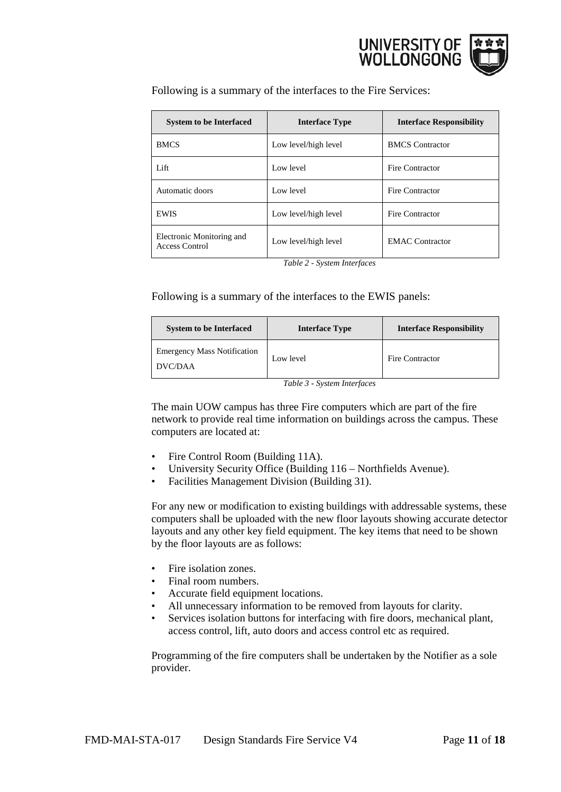

Following is a summary of the interfaces to the Fire Services:

| <b>System to be Interfaced</b>              | <b>Interface Type</b> | <b>Interface Responsibility</b> |
|---------------------------------------------|-----------------------|---------------------------------|
| <b>BMCS</b>                                 | Low level/high level  | <b>BMCS</b> Contractor          |
| Lift                                        | Low level             | Fire Contractor                 |
| Automatic doors                             | Low level             | Fire Contractor                 |
| <b>EWIS</b>                                 | Low level/high level  | Fire Contractor                 |
| Electronic Monitoring and<br>Access Control | Low level/high level  | <b>EMAC</b> Contractor          |

*Table 2 - System Interfaces*

Following is a summary of the interfaces to the EWIS panels:

| <b>System to be Interfaced</b>                | <b>Interface Type</b> | <b>Interface Responsibility</b> |
|-----------------------------------------------|-----------------------|---------------------------------|
| <b>Emergency Mass Notification</b><br>DVC/DAA | Low level             | <b>Fire Contractor</b>          |

*Table 3 - System Interfaces*

The main UOW campus has three Fire computers which are part of the fire network to provide real time information on buildings across the campus. These computers are located at:

- Fire Control Room (Building 11A).
- University Security Office (Building 116 Northfields Avenue).
- Facilities Management Division (Building 31).

For any new or modification to existing buildings with addressable systems, these computers shall be uploaded with the new floor layouts showing accurate detector layouts and any other key field equipment. The key items that need to be shown by the floor layouts are as follows:

- Fire isolation zones.
- Final room numbers.
- Accurate field equipment locations.
- All unnecessary information to be removed from layouts for clarity.
- Services isolation buttons for interfacing with fire doors, mechanical plant, access control, lift, auto doors and access control etc as required.

Programming of the fire computers shall be undertaken by the Notifier as a sole provider.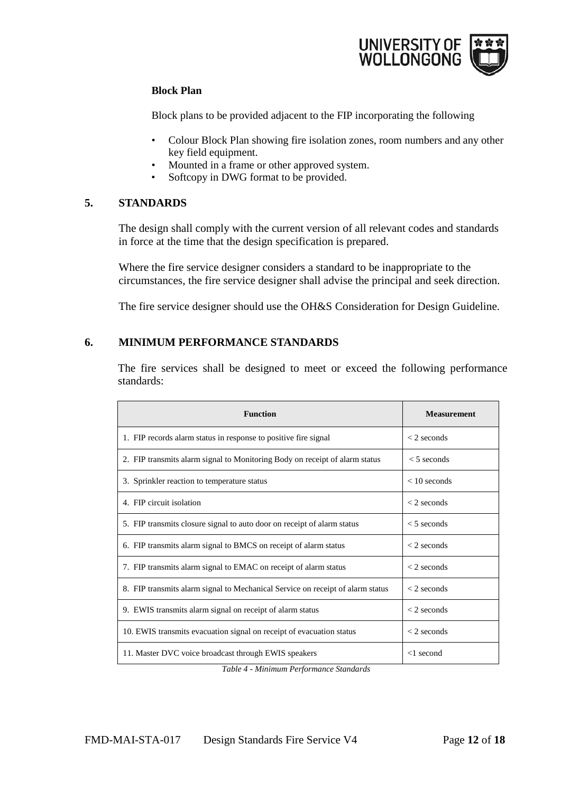

# **Block Plan**

Block plans to be provided adjacent to the FIP incorporating the following

- Colour Block Plan showing fire isolation zones, room numbers and any other key field equipment.
- Mounted in a frame or other approved system.
- Softcopy in DWG format to be provided.

# **5. STANDARDS**

<span id="page-11-0"></span>The design shall comply with the current version of all relevant codes and standards in force at the time that the design specification is prepared.

Where the fire service designer considers a standard to be inappropriate to the circumstances, the fire service designer shall advise the principal and seek direction.

The fire service designer should use the OH&S Consideration for Design Guideline.

# **6. MINIMUM PERFORMANCE STANDARDS**

<span id="page-11-1"></span>The fire services shall be designed to meet or exceed the following performance standards:

| <b>Function</b>                                                                | <b>Measurement</b>  |
|--------------------------------------------------------------------------------|---------------------|
| 1. FIP records alarm status in response to positive fire signal                | $<$ 2 seconds       |
| 2. FIP transmits alarm signal to Monitoring Body on receipt of alarm status    | $<$ 5 seconds       |
| 3. Sprinkler reaction to temperature status                                    | $< 10$ seconds      |
| 4. FIP circuit isolation                                                       | $<$ 2 seconds       |
| 5. FIP transmits closure signal to auto door on receipt of alarm status        | $<$ 5 seconds       |
| 6. FIP transmits alarm signal to BMCS on receipt of alarm status               | $<$ 2 seconds       |
| 7. FIP transmits alarm signal to EMAC on receipt of alarm status               | $<$ 2 seconds       |
| 8. FIP transmits alarm signal to Mechanical Service on receipt of alarm status | $<$ 2 seconds       |
| 9. EWIS transmits alarm signal on receipt of alarm status                      | $<$ 2 seconds       |
| 10. EWIS transmits evacuation signal on receipt of evacuation status           | $\langle$ 2 seconds |
| 11. Master DVC voice broadcast through EWIS speakers                           | $<$ 1 second        |

*Table 4 - Minimum Performance Standards*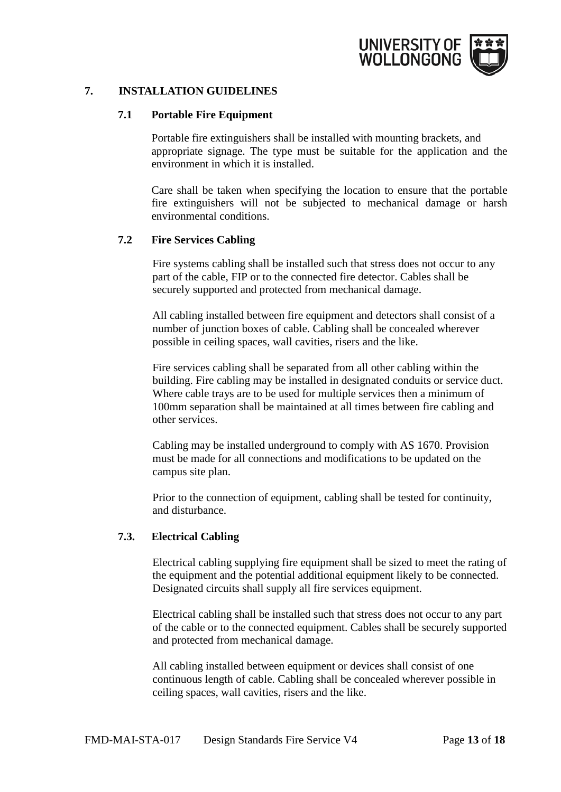

# **7. INSTALLATION GUIDELINES**

#### <span id="page-12-1"></span><span id="page-12-0"></span>**7.1 Portable Fire Equipment**

Portable fire extinguishers shall be installed with mounting brackets, and appropriate signage. The type must be suitable for the application and the environment in which it is installed.

Care shall be taken when specifying the location to ensure that the portable fire extinguishers will not be subjected to mechanical damage or harsh environmental conditions.

#### <span id="page-12-2"></span>**7.2 Fire Services Cabling**

Fire systems cabling shall be installed such that stress does not occur to any part of the cable, FIP or to the connected fire detector. Cables shall be securely supported and protected from mechanical damage.

All cabling installed between fire equipment and detectors shall consist of a number of junction boxes of cable. Cabling shall be concealed wherever possible in ceiling spaces, wall cavities, risers and the like.

Fire services cabling shall be separated from all other cabling within the building. Fire cabling may be installed in designated conduits or service duct. Where cable trays are to be used for multiple services then a minimum of 100mm separation shall be maintained at all times between fire cabling and other services.

Cabling may be installed underground to comply with AS 1670. Provision must be made for all connections and modifications to be updated on the campus site plan.

Prior to the connection of equipment, cabling shall be tested for continuity, and disturbance.

#### <span id="page-12-3"></span>**7.3. Electrical Cabling**

Electrical cabling supplying fire equipment shall be sized to meet the rating of the equipment and the potential additional equipment likely to be connected. Designated circuits shall supply all fire services equipment.

Electrical cabling shall be installed such that stress does not occur to any part of the cable or to the connected equipment. Cables shall be securely supported and protected from mechanical damage.

All cabling installed between equipment or devices shall consist of one continuous length of cable. Cabling shall be concealed wherever possible in ceiling spaces, wall cavities, risers and the like.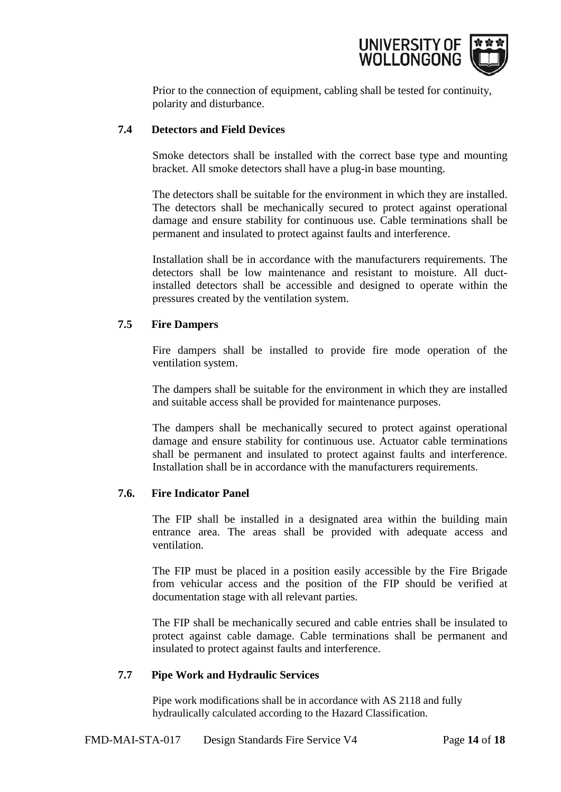

Prior to the connection of equipment, cabling shall be tested for continuity, polarity and disturbance.

### <span id="page-13-0"></span>**7.4 Detectors and Field Devices**

Smoke detectors shall be installed with the correct base type and mounting bracket. All smoke detectors shall have a plug-in base mounting.

The detectors shall be suitable for the environment in which they are installed. The detectors shall be mechanically secured to protect against operational damage and ensure stability for continuous use. Cable terminations shall be permanent and insulated to protect against faults and interference.

Installation shall be in accordance with the manufacturers requirements. The detectors shall be low maintenance and resistant to moisture. All ductinstalled detectors shall be accessible and designed to operate within the pressures created by the ventilation system.

# <span id="page-13-1"></span>**7.5 Fire Dampers**

Fire dampers shall be installed to provide fire mode operation of the ventilation system.

The dampers shall be suitable for the environment in which they are installed and suitable access shall be provided for maintenance purposes.

The dampers shall be mechanically secured to protect against operational damage and ensure stability for continuous use. Actuator cable terminations shall be permanent and insulated to protect against faults and interference. Installation shall be in accordance with the manufacturers requirements.

#### <span id="page-13-2"></span>**7.6. Fire Indicator Panel**

The FIP shall be installed in a designated area within the building main entrance area. The areas shall be provided with adequate access and ventilation.

The FIP must be placed in a position easily accessible by the Fire Brigade from vehicular access and the position of the FIP should be verified at documentation stage with all relevant parties.

The FIP shall be mechanically secured and cable entries shall be insulated to protect against cable damage. Cable terminations shall be permanent and insulated to protect against faults and interference.

#### <span id="page-13-3"></span>**7.7 Pipe Work and Hydraulic Services**

Pipe work modifications shall be in accordance with AS 2118 and fully hydraulically calculated according to the Hazard Classification.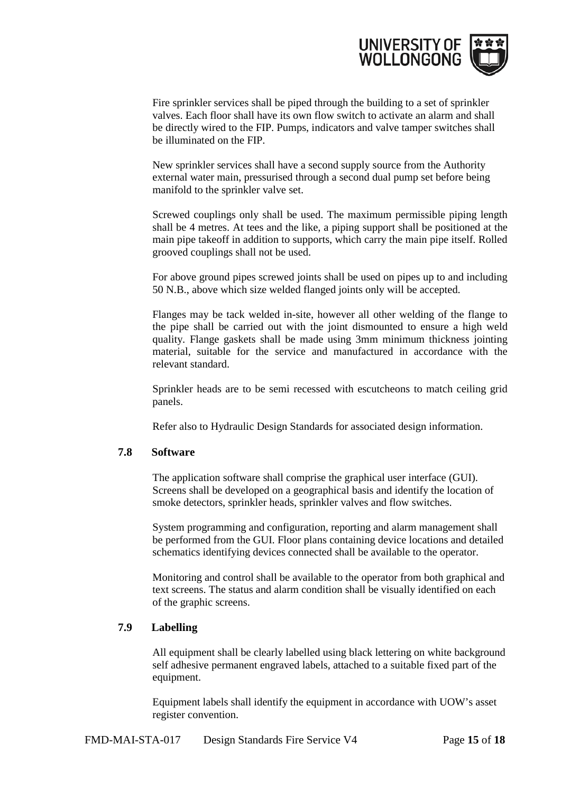

Fire sprinkler services shall be piped through the building to a set of sprinkler valves. Each floor shall have its own flow switch to activate an alarm and shall be directly wired to the FIP. Pumps, indicators and valve tamper switches shall be illuminated on the FIP.

New sprinkler services shall have a second supply source from the Authority external water main, pressurised through a second dual pump set before being manifold to the sprinkler valve set.

Screwed couplings only shall be used. The maximum permissible piping length shall be 4 metres. At tees and the like, a piping support shall be positioned at the main pipe takeoff in addition to supports, which carry the main pipe itself. Rolled grooved couplings shall not be used.

For above ground pipes screwed joints shall be used on pipes up to and including 50 N.B., above which size welded flanged joints only will be accepted.

Flanges may be tack welded in-site, however all other welding of the flange to the pipe shall be carried out with the joint dismounted to ensure a high weld quality. Flange gaskets shall be made using 3mm minimum thickness jointing material, suitable for the service and manufactured in accordance with the relevant standard.

Sprinkler heads are to be semi recessed with escutcheons to match ceiling grid panels.

Refer also to Hydraulic Design Standards for associated design information.

#### <span id="page-14-0"></span>**7.8 Software**

The application software shall comprise the graphical user interface (GUI). Screens shall be developed on a geographical basis and identify the location of smoke detectors, sprinkler heads, sprinkler valves and flow switches.

System programming and configuration, reporting and alarm management shall be performed from the GUI. Floor plans containing device locations and detailed schematics identifying devices connected shall be available to the operator.

Monitoring and control shall be available to the operator from both graphical and text screens. The status and alarm condition shall be visually identified on each of the graphic screens.

#### <span id="page-14-1"></span>**7.9 Labelling**

All equipment shall be clearly labelled using black lettering on white background self adhesive permanent engraved labels, attached to a suitable fixed part of the equipment.

Equipment labels shall identify the equipment in accordance with UOW's asset register convention.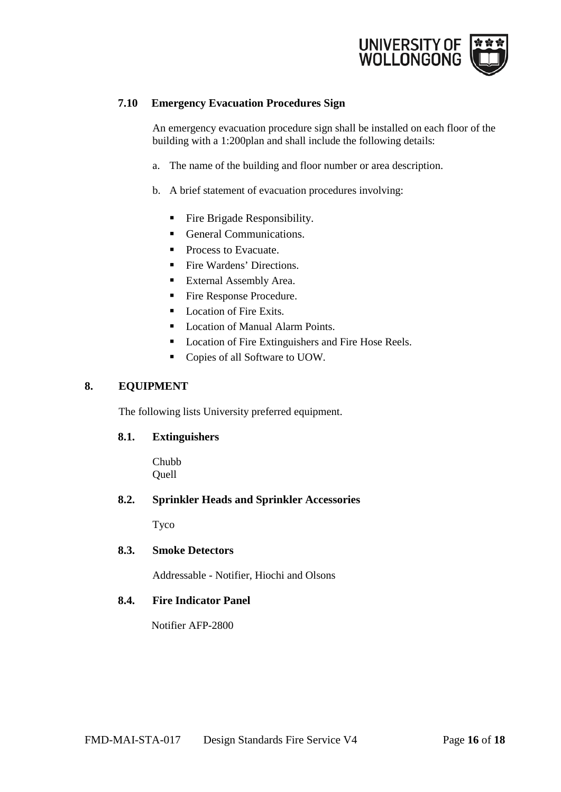

### <span id="page-15-0"></span>**7.10 Emergency Evacuation Procedures Sign**

An emergency evacuation procedure sign shall be installed on each floor of the building with a 1:200plan and shall include the following details:

- a. The name of the building and floor number or area description.
- b. A brief statement of evacuation procedures involving:
	- **Fire Brigade Responsibility.**
	- General Communications.
	- **Process to Evacuate.**
	- **Fire Wardens' Directions.**
	- **External Assembly Area.**
	- Fire Response Procedure.
	- Location of Fire Exits.
	- Location of Manual Alarm Points.
	- **Location of Fire Extinguishers and Fire Hose Reels.**
	- Copies of all Software to UOW.

#### **8. EQUIPMENT**

<span id="page-15-1"></span>The following lists University preferred equipment.

#### <span id="page-15-2"></span>**8.1. Extinguishers**

Chubb Quell

#### <span id="page-15-3"></span>**8.2. Sprinkler Heads and Sprinkler Accessories**

Tyco

#### <span id="page-15-4"></span>**8.3. Smoke Detectors**

Addressable - Notifier, Hiochi and Olsons

#### <span id="page-15-5"></span>**8.4. Fire Indicator Panel**

Notifier AFP-2800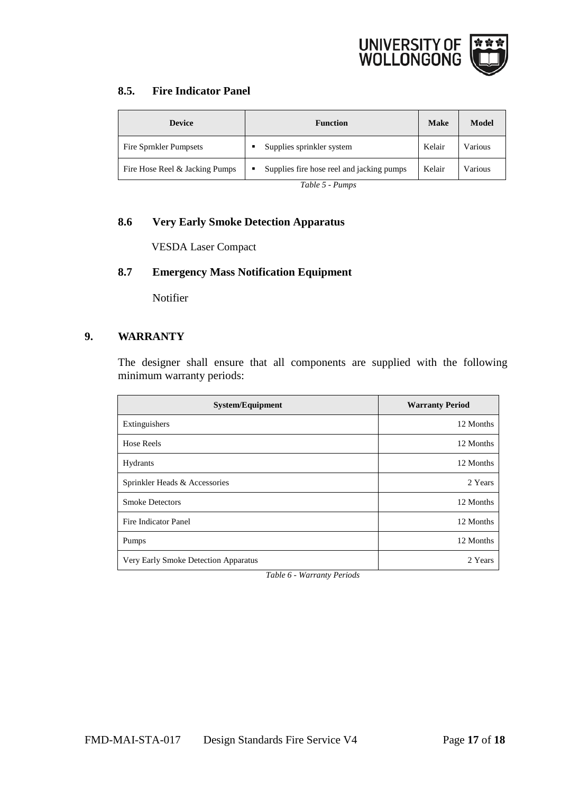

# <span id="page-16-0"></span>**8.5. Fire Indicator Panel**

| <b>Device</b>                  | <b>Function</b>                                | <b>Make</b> | Model   |
|--------------------------------|------------------------------------------------|-------------|---------|
| Fire Sprnkler Pumpsets         | Supplies sprinkler system                      | Kelair      | Various |
| Fire Hose Reel & Jacking Pumps | Supplies fire hose reel and jacking pumps<br>٠ | Kelair      | Various |

*Table 5 - Pumps* 

# <span id="page-16-1"></span>**8.6 Very Early Smoke Detection Apparatus**

VESDA Laser Compact

# <span id="page-16-2"></span>**8.7 Emergency Mass Notification Equipment**

<span id="page-16-3"></span>Notifier

# <span id="page-16-4"></span>**9. WARRANTY**

The designer shall ensure that all components are supplied with the following minimum warranty periods:

| <b>System/Equipment</b>              | <b>Warranty Period</b> |
|--------------------------------------|------------------------|
| Extinguishers                        | 12 Months              |
| <b>Hose Reels</b>                    | 12 Months              |
| Hydrants                             | 12 Months              |
| Sprinkler Heads & Accessories        | 2 Years                |
| <b>Smoke Detectors</b>               | 12 Months              |
| Fire Indicator Panel                 | 12 Months              |
| Pumps                                | 12 Months              |
| Very Early Smoke Detection Apparatus | 2 Years                |

*Table 6 - Warranty Periods*